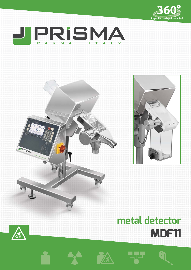





# **metal detector MDF11**



JPRISMA